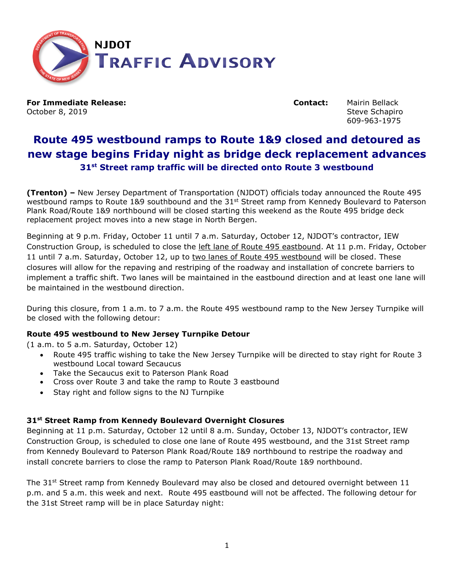

**For Immediate Release: Contact:** Mairin Bellack October 8, 2019 **Steve Schapiro** Steve Schapiro

609-963-1975

# **Route 495 westbound ramps to Route 1&9 closed and detoured as new stage begins Friday night as bridge deck replacement advances 31st Street ramp traffic will be directed onto Route 3 westbound**

**(Trenton) –** New Jersey Department of Transportation (NJDOT) officials today announced the Route 495 westbound ramps to Route 1&9 southbound and the 31<sup>st</sup> Street ramp from Kennedy Boulevard to Paterson Plank Road/Route 1&9 northbound will be closed starting this weekend as the Route 495 bridge deck replacement project moves into a new stage in North Bergen.

Beginning at 9 p.m. Friday, October 11 until 7 a.m. Saturday, October 12, NJDOT's contractor, IEW Construction Group, is scheduled to close the left lane of Route 495 eastbound. At 11 p.m. Friday, October 11 until 7 a.m. Saturday, October 12, up to two lanes of Route 495 westbound will be closed. These closures will allow for the repaving and restriping of the roadway and installation of concrete barriers to implement a traffic shift. Two lanes will be maintained in the eastbound direction and at least one lane will be maintained in the westbound direction.

During this closure, from 1 a.m. to 7 a.m. the Route 495 westbound ramp to the New Jersey Turnpike will be closed with the following detour:

# **Route 495 westbound to New Jersey Turnpike Detour**

(1 a.m. to 5 a.m. Saturday, October 12)

- Route 495 traffic wishing to take the New Jersey Turnpike will be directed to stay right for Route 3 westbound Local toward Secaucus
- Take the Secaucus exit to Paterson Plank Road
- Cross over Route 3 and take the ramp to Route 3 eastbound
- Stay right and follow signs to the NJ Turnpike

# **31st Street Ramp from Kennedy Boulevard Overnight Closures**

Beginning at 11 p.m. Saturday, October 12 until 8 a.m. Sunday, October 13, NJDOT's contractor, IEW Construction Group, is scheduled to close one lane of Route 495 westbound, and the 31st Street ramp from Kennedy Boulevard to Paterson Plank Road/Route 1&9 northbound to restripe the roadway and install concrete barriers to close the ramp to Paterson Plank Road/Route 1&9 northbound.

The 31<sup>st</sup> Street ramp from Kennedy Boulevard may also be closed and detoured overnight between 11 p.m. and 5 a.m. this week and next. Route 495 eastbound will not be affected. The following detour for the 31st Street ramp will be in place Saturday night: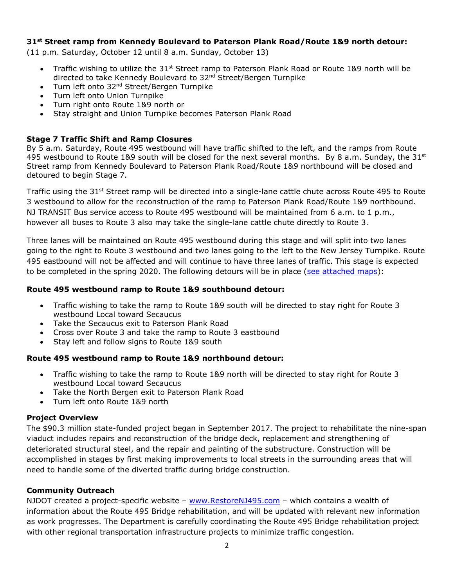#### **31st Street ramp from Kennedy Boulevard to Paterson Plank Road/Route 1&9 north detour:**

(11 p.m. Saturday, October 12 until 8 a.m. Sunday, October 13)

- Traffic wishing to utilize the 31<sup>st</sup> Street ramp to Paterson Plank Road or Route 1&9 north will be directed to take Kennedy Boulevard to 32nd Street/Bergen Turnpike
- Turn left onto 32<sup>nd</sup> Street/Bergen Turnpike
- Turn left onto Union Turnpike
- Turn right onto Route 1&9 north or
- Stay straight and Union Turnpike becomes Paterson Plank Road

# **Stage 7 Traffic Shift and Ramp Closures**

By 5 a.m. Saturday, Route 495 westbound will have traffic shifted to the left, and the ramps from Route 495 westbound to Route 1&9 south will be closed for the next several months. By 8 a.m. Sunday, the 31st Street ramp from Kennedy Boulevard to Paterson Plank Road/Route 1&9 northbound will be closed and detoured to begin Stage 7.

Traffic using the 31<sup>st</sup> Street ramp will be directed into a single-lane cattle chute across Route 495 to Route 3 westbound to allow for the reconstruction of the ramp to Paterson Plank Road/Route 1&9 northbound. NJ TRANSIT Bus service access to Route 495 westbound will be maintained from 6 a.m. to 1 p.m., however all buses to Route 3 also may take the single-lane cattle chute directly to Route 3.

Three lanes will be maintained on Route 495 westbound during this stage and will split into two lanes going to the right to Route 3 westbound and two lanes going to the left to the New Jersey Turnpike. Route 495 eastbound will not be affected and will continue to have three lanes of traffic. This stage is expected to be completed in the spring 2020. The following detours will be in place [\(see attached maps\)](https://www.state.nj.us/transportation/about/press/2019/Route_495_wb_rampstoRt1&9detoursStage7.pdf):

# **Route 495 westbound ramp to Route 1&9 southbound detour:**

- Traffic wishing to take the ramp to Route 1&9 south will be directed to stay right for Route 3 westbound Local toward Secaucus
- Take the Secaucus exit to Paterson Plank Road
- Cross over Route 3 and take the ramp to Route 3 eastbound
- Stay left and follow signs to Route 1&9 south

# **Route 495 westbound ramp to Route 1&9 northbound detour:**

- Traffic wishing to take the ramp to Route 1&9 north will be directed to stay right for Route 3 westbound Local toward Secaucus
- Take the North Bergen exit to Paterson Plank Road
- Turn left onto Route 1&9 north

# **Project Overview**

The \$90.3 million state-funded project began in September 2017. The project to rehabilitate the nine-span viaduct includes repairs and reconstruction of the bridge deck, replacement and strengthening of deteriorated structural steel, and the repair and painting of the substructure. Construction will be accomplished in stages by first making improvements to local streets in the surrounding areas that will need to handle some of the diverted traffic during bridge construction.

# **Community Outreach**

NJDOT created a project-specific website - [www.RestoreNJ495.com](http://www.restorenj495.com/) - which contains a wealth of information about the Route 495 Bridge rehabilitation, and will be updated with relevant new information as work progresses. The Department is carefully coordinating the Route 495 Bridge rehabilitation project with other regional transportation infrastructure projects to minimize traffic congestion.